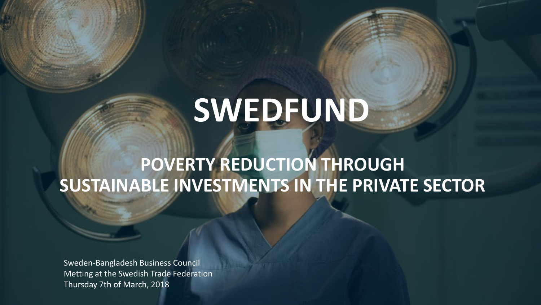# **SWEDFUND**

# **POVERTY REDUCTION THROUGH SUSTAINABLE INVESTMENTS IN THE PRIVATE SECTOR**

Sweden-Bangladesh Business Council Metting at the Swedish Trade Federation Thursday 7th of March, 2018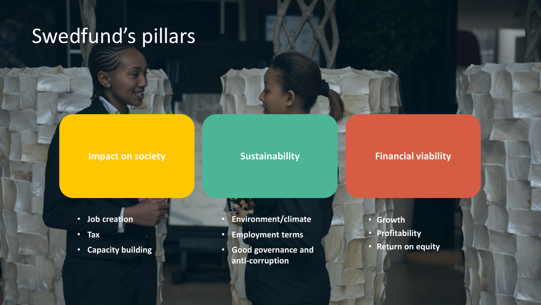# Swedfund's pillars

#### **Impact on society CO Sustainability Financial viability**

- **Job creation**
- **Tax**
- **Capacity building**
- **Environment/climate**
- **Employment terms**
- **Good governance and anti-corruption**
- **Growth**
- **Profitability**
- **Return on equity**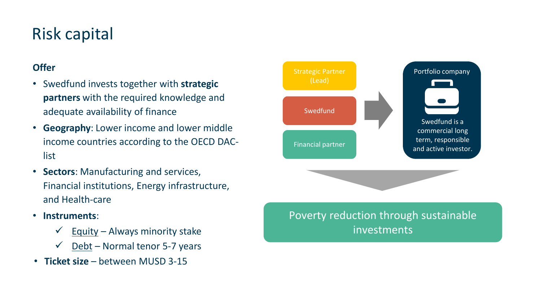#### Risk capital

#### **Offer**

- Swedfund invests together with **strategic partners** with the required knowledge and adequate availability of finance
- **Geography**: Lower income and lower middle income countries according to the OECD DAClist
- **Sectors**: Manufacturing and services, Financial institutions, Energy infrastructure, and Health-care
- **Instruments**:
	- $\checkmark$  Equity Always minority stake
	- $\checkmark$  Debt Normal tenor 5-7 years
- **Ticket size** between MUSD 3-15



Poverty reduction through sustainable investments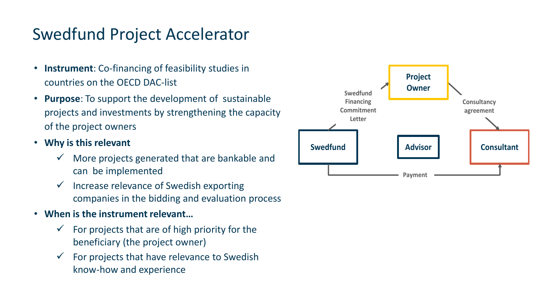#### Swedfund Project Accelerator

- **Instrument**: Co-financing of feasibility studies in countries on the OECD DAC-list
- **Purpose**: To support the development of sustainable projects and investments by strengthening the capacity of the project owners
- **Why is this relevant**
	- More projects generated that are bankable and can be implemented
	- $\checkmark$  Increase relevance of Swedish exporting companies in the bidding and evaluation process
- **When is the instrument relevant…**
	- $\checkmark$  For projects that are of high priority for the beneficiary (the project owner)
	- $\checkmark$  For projects that have relevance to Swedish know-how and experience

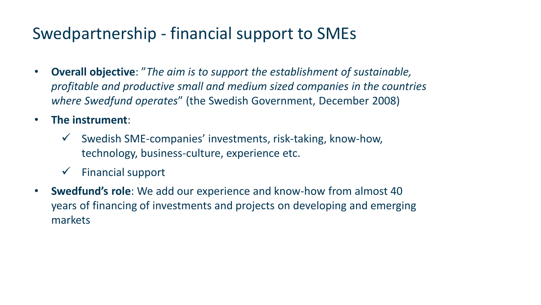### Swedpartnership - financial support to SMEs

- **Overall objective**: "*The aim is to support the establishment of sustainable, profitable and productive small and medium sized companies in the countries where Swedfund operates*" (the Swedish Government, December 2008)
- **The instrument**:
	- $\checkmark$  Swedish SME-companies' investments, risk-taking, know-how, technology, business-culture, experience etc.
	- $\checkmark$  Financial support
- **Swedfund's role**: We add our experience and know-how from almost 40 years of financing of investments and projects on developing and emerging markets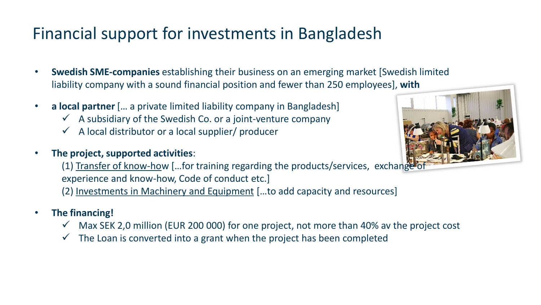# Financial support for investments in Bangladesh

- **Swedish SME-companies** establishing their business on an emerging market [Swedish limited liability company with a sound financial position and fewer than 250 employees], **with**
- **a local partner** [… a private limited liability company in Bangladesh]
	- $\checkmark$  A subsidiary of the Swedish Co. or a joint-venture company
	- $\checkmark$  A local distributor or a local supplier/ producer
- **The project, supported activities**:



(1) Transfer of know-how […for training regarding the products/services, exchange of experience and know-how, Code of conduct etc.]

(2) Investments in Machinery and Equipment […to add capacity and resources]

- **The financing!**
	- $\checkmark$  Max SEK 2,0 million (EUR 200 000) for one project, not more than 40% av the project cost
	- $\checkmark$  The Loan is converted into a grant when the project has been completed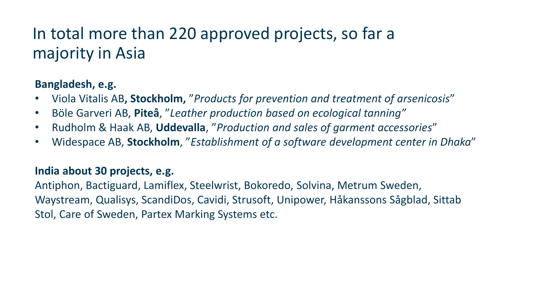### In total more than 220 approved projects, so far a majority in Asia

#### **Bangladesh, e.g.**

- Viola Vitalis AB**, Stockholm,** "*Products for prevention and treatment of arsenicosis*"
- Böle Garveri AB, **Piteå**, "*Leather production based on ecological tanning"*
- Rudholm & Haak AB, **Uddevalla**, "*Production and sales of garment accessories*"
- Widespace AB, **Stockholm**, "*Establishment of a software development center in Dhaka*"

#### **India about 30 projects, e.g.**

Antiphon, Bactiguard, Lamiflex, Steelwrist, Bokoredo, Solvina, Metrum Sweden, Waystream, Qualisys, ScandiDos, Cavidi, Strusoft, Unipower, Håkanssons Sågblad, Sittab Stol, Care of Sweden, Partex Marking Systems etc.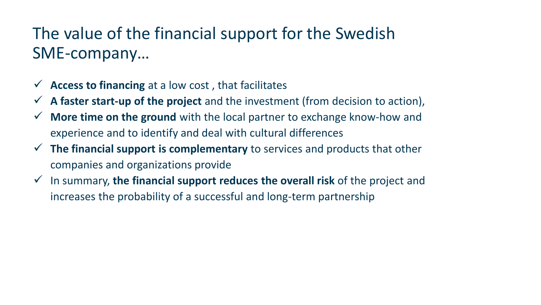## The value of the financial support for the Swedish SME-company…

- **Access to financing** at a low cost , that facilitates
- **A faster start-up of the project** and the investment (from decision to action),
- **More time on the ground** with the local partner to exchange know-how and experience and to identify and deal with cultural differences
- **The financial support is complementary** to services and products that other companies and organizations provide
- In summary, **the financial support reduces the overall risk** of the project and increases the probability of a successful and long-term partnership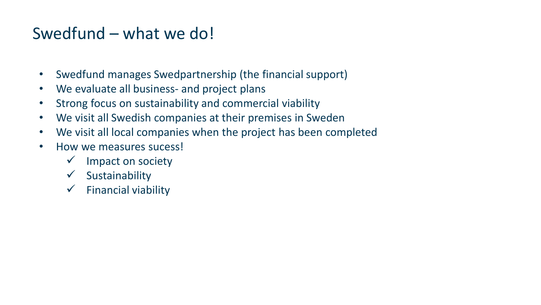#### Swedfund – what we do!

- Swedfund manages Swedpartnership (the financial support)
- We evaluate all business- and project plans
- Strong focus on sustainability and commercial viability
- We visit all Swedish companies at their premises in Sweden
- We visit all local companies when the project has been completed
- How we measures sucess!
	- $\checkmark$  Impact on society
	- $\checkmark$  Sustainability
	- $\checkmark$  Financial viability